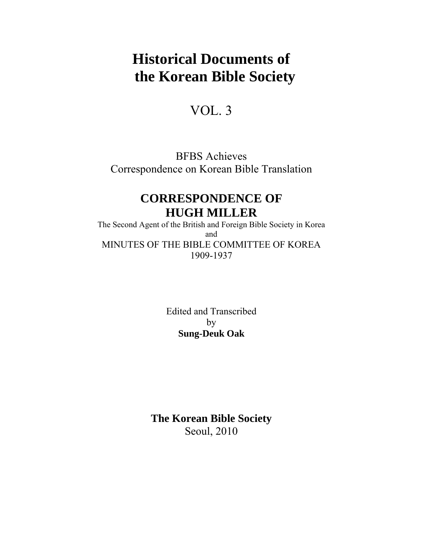# **Historical Documents of the Korean Bible Society**

## VOL. 3

BFBS Achieves Correspondence on Korean Bible Translation

## **CORRESPONDENCE OF HUGH MILLER**

The Second Agent of the British and Foreign Bible Society in Korea and MINUTES OF THE BIBLE COMMITTEE OF KOREA 1909-1937

> Edited and Transcribed by **Sung-Deuk Oak**

**The Korean Bible Society**  Seoul, 2010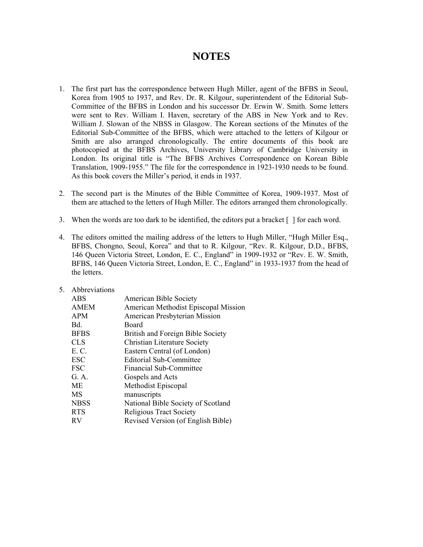## **NOTES**

- 1. The first part has the correspondence between Hugh Miller, agent of the BFBS in Seoul, Korea from 1905 to 1937, and Rev. Dr. R. Kilgour, superintendent of the Editorial Sub-Committee of the BFBS in London and his successor Dr. Erwin W. Smith. Some letters were sent to Rev. William I. Haven, secretary of the ABS in New York and to Rev. William J. Slowan of the NBSS in Glasgow. The Korean sections of the Minutes of the Editorial Sub-Committee of the BFBS, which were attached to the letters of Kilgour or Smith are also arranged chronologically. The entire documents of this book are photocopied at the BFBS Archives, University Library of Cambridge University in London. Its original title is "The BFBS Archives Correspondence on Korean Bible Translation, 1909-1955." The file for the correspondence in 1923-1930 needs to be found. As this book covers the Miller's period, it ends in 1937.
- 2. The second part is the Minutes of the Bible Committee of Korea, 1909-1937. Most of them are attached to the letters of Hugh Miller. The editors arranged them chronologically.
- 3. When the words are too dark to be identified, the editors put a bracket [ ] for each word.
- 4. The editors omitted the mailing address of the letters to Hugh Miller, "Hugh Miller Esq., BFBS, Chongno, Seoul, Korea" and that to R. Kilgour, "Rev. R. Kilgour, D.D., BFBS, 146 Queen Victoria Street, London, E. C., England" in 1909-1932 or "Rev. E. W. Smith, BFBS, 146 Queen Victoria Street, London, E. C., England" in 1933-1937 from the head of the letters.
- 5. Abbreviations

| <b>ABS</b>  | American Bible Society               |
|-------------|--------------------------------------|
| <b>AMEM</b> | American Methodist Episcopal Mission |
| <b>APM</b>  | American Presbyterian Mission        |
| Bd.         | Board                                |
| <b>BFBS</b> | British and Foreign Bible Society    |
| <b>CLS</b>  | <b>Christian Literature Society</b>  |
| E. C.       | Eastern Central (of London)          |
| <b>ESC</b>  | <b>Editorial Sub-Committee</b>       |
| <b>FSC</b>  | Financial Sub-Committee              |
| G. A.       | Gospels and Acts                     |
| <b>ME</b>   | Methodist Episcopal                  |
| MS          | manuscripts                          |
| <b>NBSS</b> | National Bible Society of Scotland   |
| <b>RTS</b>  | <b>Religious Tract Society</b>       |
| <b>RV</b>   | Revised Version (of English Bible)   |
|             |                                      |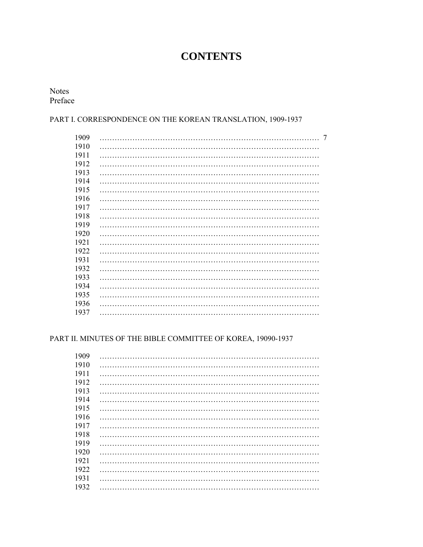## **CONTENTS**

Notes Preface

### PART I. CORRESPONDENCE ON THE KOREAN TRANSLATION, 1909-1937

| 1909 | 7 |
|------|---|
| 1910 |   |
| 1911 |   |
| 1912 |   |
| 1913 |   |
| 1914 |   |
| 1915 |   |
| 1916 |   |
| 1917 |   |
| 1918 |   |
| 1919 |   |
| 1920 |   |
| 1921 |   |
| 1922 |   |
| 1931 |   |
| 1932 |   |
| 1933 |   |
| 1934 |   |
| 1935 |   |
| 1936 |   |
| 1937 |   |
|      |   |

### PART II. MINUTES OF THE BIBLE COMMITTEE OF KOREA, 19090-1937

| 1909 |  |
|------|--|
| 1910 |  |
| 1911 |  |
| 1912 |  |
| 1913 |  |
| 1914 |  |
| 1915 |  |
| 1916 |  |
| 1917 |  |
| 1918 |  |
| 1919 |  |
| 1920 |  |
| 1921 |  |
| 1922 |  |
| 1931 |  |
| 1932 |  |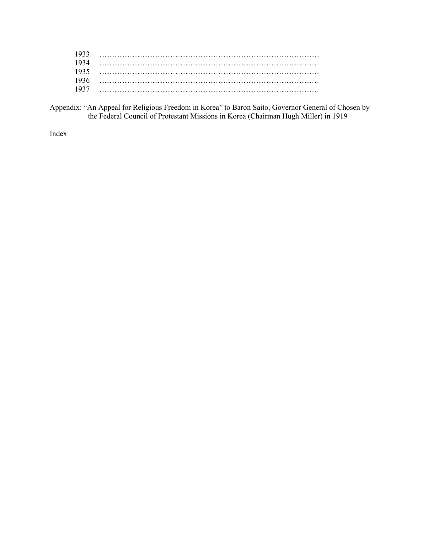| 1935 |  |
|------|--|
| 1934 |  |
| 1935 |  |
| 1936 |  |
| 193' |  |

Appendix: "An Appeal for Religious Freedom in Korea" to Baron Saito, Governor General of Chosen by the Federal Council of Protestant Missions in Korea (Chairman Hugh Miller) in 1919

Index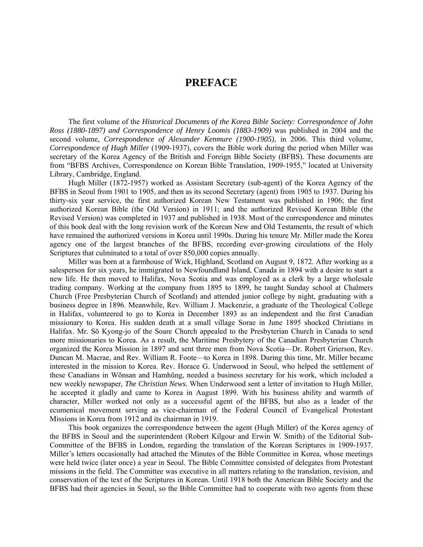## **PREFACE**

The first volume of the *Historical Documents of the Korea Bible Society: Correspondence of John Ross (1880-1897) and Correspondence of Henry Loomis (1883-1909)* was published in 2004 and the second volume, *Correspondence of Alexander Kenmure (1900-1905)*, in 2006. This third volume, *Correspondence of Hugh Miller* (1909-1937), covers the Bible work during the period when Miller was secretary of the Korea Agency of the British and Foreign Bible Society (BFBS). These documents are from "BFBS Archives, Correspondence on Korean Bible Translation, 1909-1955," located at University Library, Cambridge, England.

Hugh Miller (1872-1957) worked as Assistant Secretary (sub-agent) of the Korea Agency of the BFBS in Seoul from 1901 to 1905, and then as its second Secretary (agent) from 1905 to 1937. During his thirty-six year service, the first authorized Korean New Testament was published in 1906; the first authorized Korean Bible (the Old Version) in 1911; and the authorized Revised Korean Bible (the Revised Version) was completed in 1937 and published in 1938. Most of the correspondence and minutes of this book deal with the long revision work of the Korean New and Old Testaments, the result of which have remained the authorized versions in Korea until 1990s. During his tenure Mr. Miller made the Korea agency one of the largest branches of the BFBS, recording ever-growing circulations of the Holy Scriptures that culminated to a total of over 850,000 copies annually.

Miller was born at a farmhouse of Wick, Highland, Scotland on August 9, 1872. After working as a salesperson for six years, he immigrated to Newfoundland Island, Canada in 1894 with a desire to start a new life. He then moved to Halifax, Nova Scotia and was employed as a clerk by a large wholesale trading company. Working at the company from 1895 to 1899, he taught Sunday school at Chalmers Church (Free Presbyterian Church of Scotland) and attended junior college by night, graduating with a business degree in 1896. Meanwhile, Rev. William J. Mackenzie, a graduate of the Theological College in Halifax, volunteered to go to Korea in December 1893 as an independent and the first Canadian missionary to Korea. His sudden death at a small village Sorae in June 1895 shocked Christians in Halifax. Mr. Sŏ Kyong-jo of the Soare Church appealed to the Presbyterian Church in Canada to send more missionaries to Korea. As a result, the Maritime Presbytery of the Canadian Presbyterian Church organized the Korea Mission in 1897 and sent three men from Nova Scotia—Dr. Robert Grierson, Rev. Duncan M. Macrae, and Rev. William R. Foote—to Korea in 1898. During this time, Mr. Miller became interested in the mission to Korea. Rev. Horace G. Underwood in Seoul, who helped the settlement of these Canadians in Wŏnsan and Hamhŭng, needed a business secretary for his work, which included a new weekly newspaper, *The Christian News*. When Underwood sent a letter of invitation to Hugh Miller, he accepted it gladly and came to Korea in August 1899. With his business ability and warmth of character, Miller worked not only as a successful agent of the BFBS, but also as a leader of the ecumenical movement serving as vice-chairman of the Federal Council of Evangelical Protestant Missions in Korea from 1912 and its chairman in 1919.

This book organizes the correspondence between the agent (Hugh Miller) of the Korea agency of the BFBS in Seoul and the superintendent (Robert Kilgour and Erwin W. Smith) of the Editorial Sub-Committee of the BFBS in London, regarding the translation of the Korean Scriptures in 1909-1937. Miller's letters occasionally had attached the Minutes of the Bible Committee in Korea, whose meetings were held twice (later once) a year in Seoul. The Bible Committee consisted of delegates from Protestant missions in the field. The Committee was executive in all matters relating to the translation, revision, and conservation of the text of the Scriptures in Korean. Until 1918 both the American Bible Society and the BFBS had their agencies in Seoul, so the Bible Committee had to cooperate with two agents from these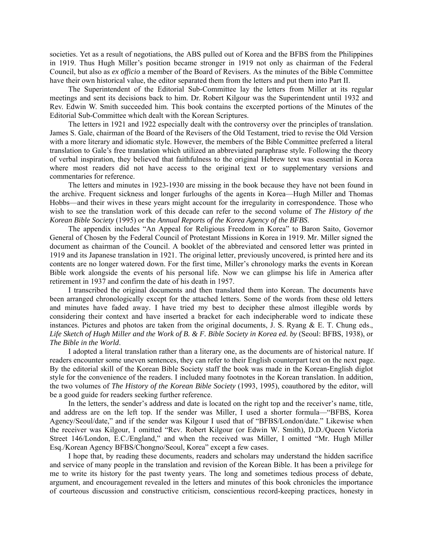societies. Yet as a result of negotiations, the ABS pulled out of Korea and the BFBS from the Philippines in 1919. Thus Hugh Miller's position became stronger in 1919 not only as chairman of the Federal Council, but also as *ex officio* a member of the Board of Revisers. As the minutes of the Bible Committee have their own historical value, the editor separated them from the letters and put them into Part II.

The Superintendent of the Editorial Sub-Committee lay the letters from Miller at its regular meetings and sent its decisions back to him. Dr. Robert Kilgour was the Superintendent until 1932 and Rev. Edwin W. Smith succeeded him. This book contains the excerpted portions of the Minutes of the Editorial Sub-Committee which dealt with the Korean Scriptures.

The letters in 1921 and 1922 especially dealt with the controversy over the principles of translation. James S. Gale, chairman of the Board of the Revisers of the Old Testament, tried to revise the Old Version with a more literary and idiomatic style. However, the members of the Bible Committee preferred a literal translation to Gale's free translation which utilized an abbreviated paraphrase style. Following the theory of verbal inspiration, they believed that faithfulness to the original Hebrew text was essential in Korea where most readers did not have access to the original text or to supplementary versions and commentaries for reference.

The letters and minutes in 1923-1930 are missing in the book because they have not been found in the archive. Frequent sickness and longer furloughs of the agents in Korea—Hugh Miller and Thomas Hobbs—and their wives in these years might account for the irregularity in correspondence. Those who wish to see the translation work of this decade can refer to the second volume of *The History of the Korean Bible Society* (1995) or the *Annual Reports of the Korea Agency of the BFBS*.

The appendix includes "An Appeal for Religious Freedom in Korea" to Baron Saito, Governor General of Chosen by the Federal Council of Protestant Missions in Korea in 1919. Mr. Miller signed the document as chairman of the Council. A booklet of the abbreviated and censored letter was printed in 1919 and its Japanese translation in 1921. The original letter, previously uncovered, is printed here and its contents are no longer watered down. For the first time, Miller's chronology marks the events in Korean Bible work alongside the events of his personal life. Now we can glimpse his life in America after retirement in 1937 and confirm the date of his death in 1957.

I transcribed the original documents and then translated them into Korean. The documents have been arranged chronologically except for the attached letters. Some of the words from these old letters and minutes have faded away. I have tried my best to decipher these almost illegible words by considering their context and have inserted a bracket for each indecipherable word to indicate these instances. Pictures and photos are taken from the original documents, J. S. Ryang & E. T. Chung eds., *Life Sketch of Hugh Miller and the Work of B. & F. Bible Society in Korea ed. by* (Seoul: BFBS, 1938), or *The Bible in the World*.

I adopted a literal translation rather than a literary one, as the documents are of historical nature. If readers encounter some uneven sentences, they can refer to their English counterpart text on the next page. By the editorial skill of the Korean Bible Society staff the book was made in the Korean-English diglot style for the convenience of the readers. I included many footnotes in the Korean translation. In addition, the two volumes of *The History of the Korean Bible Society* (1993, 1995), coauthored by the editor, will be a good guide for readers seeking further reference.

In the letters, the sender's address and date is located on the right top and the receiver's name, title, and address are on the left top. If the sender was Miller, I used a shorter formula—"BFBS, Korea Agency/Seoul/date," and if the sender was Kilgour I used that of "BFBS/London/date." Likewise when the receiver was Kilgour, I omitted "Rev. Robert Kilgour (or Edwin W. Smith), D.D./Queen Victoria Street 146/London, E.C./England," and when the received was Miller, I omitted "Mr. Hugh Miller Esq./Korean Agency BFBS/Chongno/Seoul, Korea" except a few cases.

I hope that, by reading these documents, readers and scholars may understand the hidden sacrifice and service of many people in the translation and revision of the Korean Bible. It has been a privilege for me to write its history for the past twenty years. The long and sometimes tedious process of debate, argument, and encouragement revealed in the letters and minutes of this book chronicles the importance of courteous discussion and constructive criticism, conscientious record-keeping practices, honesty in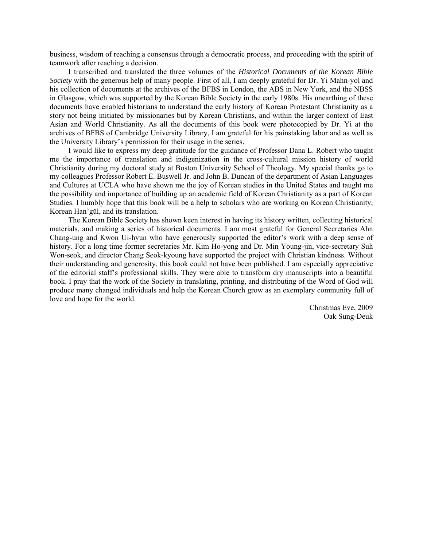business, wisdom of reaching a consensus through a democratic process, and proceeding with the spirit of teamwork after reaching a decision.

I transcribed and translated the three volumes of the *Historical Documents of the Korean Bible Society* with the generous help of many people. First of all, I am deeply grateful for Dr. Yi Mahn-yol and his collection of documents at the archives of the BFBS in London, the ABS in New York, and the NBSS in Glasgow, which was supported by the Korean Bible Society in the early 1980s. His unearthing of these documents have enabled historians to understand the early history of Korean Protestant Christianity as a story not being initiated by missionaries but by Korean Christians, and within the larger context of East Asian and World Christianity. As all the documents of this book were photocopied by Dr. Yi at the archives of BFBS of Cambridge University Library, I am grateful for his painstaking labor and as well as the University Library's permission for their usage in the series.

I would like to express my deep gratitude for the guidance of Professor Dana L. Robert who taught me the importance of translation and indigenization in the cross-cultural mission history of world Christianity during my doctoral study at Boston University School of Theology. My special thanks go to my colleagues Professor Robert E. Buswell Jr. and John B. Duncan of the department of Asian Languages and Cultures at UCLA who have shown me the joy of Korean studies in the United States and taught me the possibility and importance of building up an academic field of Korean Christianity as a part of Korean Studies. I humbly hope that this book will be a help to scholars who are working on Korean Christianity, Korean Han'gŭl, and its translation.

The Korean Bible Society has shown keen interest in having its history written, collecting historical materials, and making a series of historical documents. I am most grateful for General Secretaries Ahn Chang-ung and Kwon Ui-hyun who have generously supported the editor's work with a deep sense of history. For a long time former secretaries Mr. Kim Ho-yong and Dr. Min Young-jin, vice-secretary Suh Won-seok, and director Chang Seok-kyoung have supported the project with Christian kindness. Without their understanding and generosity, this book could not have been published. I am especially appreciative of the editorial staff's professional skills. They were able to transform dry manuscripts into a beautiful book. I pray that the work of the Society in translating, printing, and distributing of the Word of God will produce many changed individuals and help the Korean Church grow as an exemplary community full of love and hope for the world.

> Christmas Eve, 2009 Oak Sung-Deuk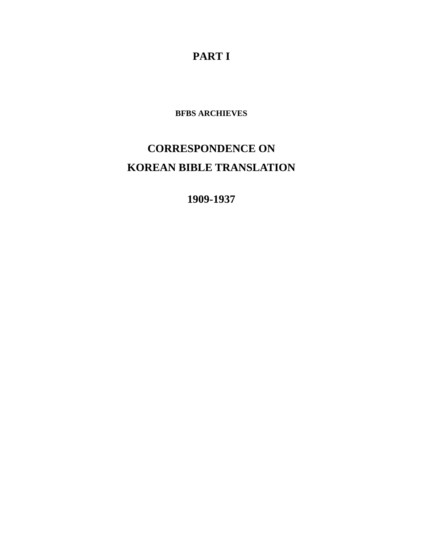**PART I** 

**BFBS ARCHIEVES** 

# **CORRESPONDENCE ON KOREAN BIBLE TRANSLATION**

**1909-1937**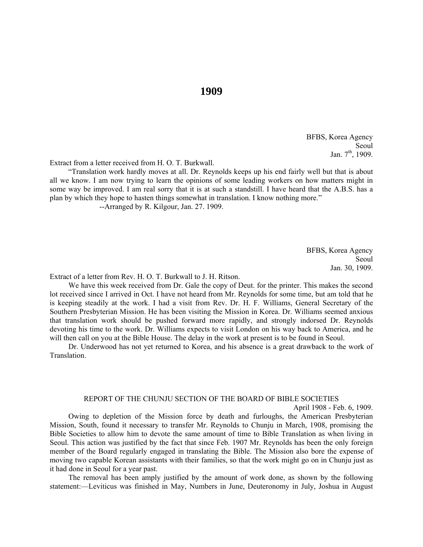#### BFBS, Korea Agency Seoul Jan.  $7^{\text{th}}$ , 1909.

Extract from a letter received from H. O. T. Burkwall.

"Translation work hardly moves at all. Dr. Reynolds keeps up his end fairly well but that is about all we know. I am now trying to learn the opinions of some leading workers on how matters might in some way be improved. I am real sorry that it is at such a standstill. I have heard that the A.B.S. has a plan by which they hope to hasten things somewhat in translation. I know nothing more."

--Arranged by R. Kilgour, Jan. 27. 1909.

BFBS, Korea Agency Seoul Jan. 30, 1909.

Extract of a letter from Rev. H. O. T. Burkwall to J. H. Ritson.

We have this week received from Dr. Gale the copy of Deut. for the printer. This makes the second lot received since I arrived in Oct. I have not heard from Mr. Reynolds for some time, but am told that he is keeping steadily at the work. I had a visit from Rev. Dr. H. F. Williams, General Secretary of the Southern Presbyterian Mission. He has been visiting the Mission in Korea. Dr. Williams seemed anxious that translation work should be pushed forward more rapidly, and strongly indorsed Dr. Reynolds devoting his time to the work. Dr. Williams expects to visit London on his way back to America, and he will then call on you at the Bible House. The delay in the work at present is to be found in Seoul.

Dr. Underwood has not yet returned to Korea, and his absence is a great drawback to the work of Translation.

#### REPORT OF THE CHUNJU SECTION OF THE BOARD OF BIBLE SOCIETIES

April 1908 - Feb. 6, 1909.

 Owing to depletion of the Mission force by death and furloughs, the American Presbyterian Mission, South, found it necessary to transfer Mr. Reynolds to Chunju in March, 1908, promising the Bible Societies to allow him to devote the same amount of time to Bible Translation as when living in Seoul. This action was justified by the fact that since Feb. 1907 Mr. Reynolds has been the only foreign member of the Board regularly engaged in translating the Bible. The Mission also bore the expense of moving two capable Korean assistants with their families, so that the work might go on in Chunju just as it had done in Seoul for a year past.

 The removal has been amply justified by the amount of work done, as shown by the following statement:—Leviticus was finished in May, Numbers in June, Deuteronomy in July, Joshua in August

### **1909**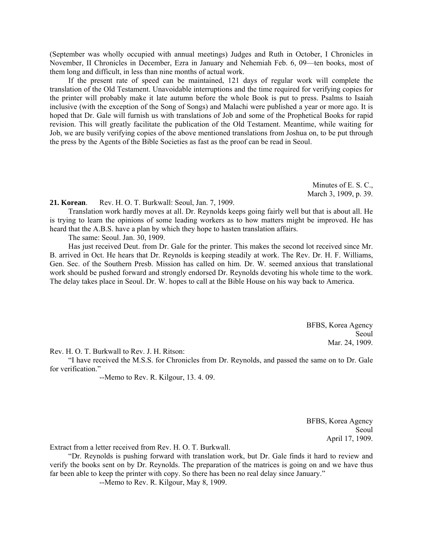(September was wholly occupied with annual meetings) Judges and Ruth in October, I Chronicles in November, II Chronicles in December, Ezra in January and Nehemiah Feb. 6, 09—ten books, most of them long and difficult, in less than nine months of actual work.

 If the present rate of speed can be maintained, 121 days of regular work will complete the translation of the Old Testament. Unavoidable interruptions and the time required for verifying copies for the printer will probably make it late autumn before the whole Book is put to press. Psalms to Isaiah inclusive (with the exception of the Song of Songs) and Malachi were published a year or more ago. It is hoped that Dr. Gale will furnish us with translations of Job and some of the Prophetical Books for rapid revision. This will greatly facilitate the publication of the Old Testament. Meantime, while waiting for Job, we are busily verifying copies of the above mentioned translations from Joshua on, to be put through the press by the Agents of the Bible Societies as fast as the proof can be read in Seoul.

> Minutes of E. S. C., March 3, 1909, p. 39.

**21. Korean**. Rev. H. O. T. Burkwall: Seoul, Jan. 7, 1909.

Translation work hardly moves at all. Dr. Reynolds keeps going fairly well but that is about all. He is trying to learn the opinions of some leading workers as to how matters might be improved. He has heard that the A.B.S. have a plan by which they hope to hasten translation affairs.

The same: Seoul. Jan. 30, 1909.

Has just received Deut. from Dr. Gale for the printer. This makes the second lot received since Mr. B. arrived in Oct. He hears that Dr. Reynolds is keeping steadily at work. The Rev. Dr. H. F. Williams, Gen. Sec. of the Southern Presb. Mission has called on him. Dr. W. seemed anxious that translational work should be pushed forward and strongly endorsed Dr. Reynolds devoting his whole time to the work. The delay takes place in Seoul. Dr. W. hopes to call at the Bible House on his way back to America.

> BFBS, Korea Agency Seoul Mar. 24, 1909.

Rev. H. O. T. Burkwall to Rev. J. H. Ritson:

"I have received the M.S.S. for Chronicles from Dr. Reynolds, and passed the same on to Dr. Gale for verification."

--Memo to Rev. R. Kilgour, 13. 4. 09.

BFBS, Korea Agency Seoul April 17, 1909.

Extract from a letter received from Rev. H. O. T. Burkwall.

"Dr. Reynolds is pushing forward with translation work, but Dr. Gale finds it hard to review and verify the books sent on by Dr. Reynolds. The preparation of the matrices is going on and we have thus far been able to keep the printer with copy. So there has been no real delay since January."

--Memo to Rev. R. Kilgour, May 8, 1909.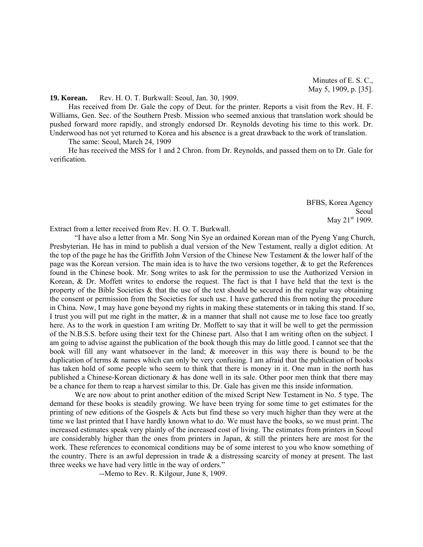#### **19. Korean.** Rev. H. O. T. Burkwall: Seoul, Jan. 30, 1909.

Has received from Dr. Gale the copy of Deut. for the printer. Reports a visit from the Rev. H. F. Williams, Gen. Sec. of the Southern Presb. Mission who seemed anxious that translation work should be pushed forward more rapidly, and strongly endorsed Dr. Reynolds devoting his time to this work. Dr. Underwood has not yet returned to Korea and his absence is a great drawback to the work of translation.

The same: Seoul, March 24, 1909

He has received the MSS for 1 and 2 Chron. from Dr. Reynolds, and passed them on to Dr. Gale for verification.

> BFBS, Korea Agency Seoul May 21<sup>st</sup> 1909.

Extract from a letter received from Rev. H. O. T. Burkwall.

"I have also a letter from a Mr. Song Nin Sye an ordained Korean man of the Pyeng Yang Church, Presbyterian. He has in mind to publish a dual version of the New Testament, really a diglot edition. At the top of the page he has the Griffith John Version of the Chinese New Testament & the lower half of the page was the Korean version. The main idea is to have the two versions together, & to get the References found in the Chinese book. Mr. Song writes to ask for the permission to use the Authorized Version in Korean, & Dr. Moffett writes to endorse the request. The fact is that I have held that the text is the property of the Bible Societies  $\&$  that the use of the text should be secured in the regular way obtaining the consent or permission from the Societies for such use. I have gathered this from noting the procedure in China. Now, I may have gone beyond my rights in making these statements or in taking this stand. If so, I trust you will put me right in the matter,  $\&$  in a manner that shall not cause me to lose face too greatly here. As to the work in question I am writing Dr. Moffett to say that it will be well to get the permission of the N.B.S.S. before using their text for the Chinese part. Also that I am writing often on the subject. I am going to advise against the publication of the book though this may do little good. I cannot see that the book will fill any want whatsoever in the land; & moreover in this way there is bound to be the duplication of terms & names which can only be very confusing. I am afraid that the publication of books has taken hold of some people who seem to think that there is money in it. One man in the north has published a Chinese-Korean dictionary & has done well in its sale. Other poor men think that there may be a chance for them to reap a harvest similar to this. Dr. Gale has given me this inside information.

We are now about to print another edition of the mixed Script New Testament in No. 5 type. The demand for these books is steadily growing. We have been trying for some time to get estimates for the printing of new editions of the Gospels & Acts but find these so very much higher than they were at the time we last printed that I have hardly known what to do. We must have the books, so we must print. The increased estimates speak very plainly of the increased cost of living. The estimates from printers in Seoul are considerably higher than the ones from printers in Japan, & still the printers here are most for the work. These references to economical conditions may be of some interest to you who know something of the country. There is an awful depression in trade & a distressing scarcity of money at present. The last three weeks we have had very little in the way of orders."

--Memo to Rev. R. Kilgour, June 8, 1909.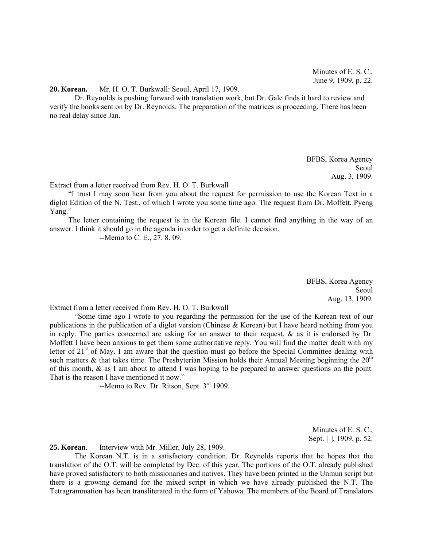#### **20. Korean.** Mr. H. O. T. Burkwall: Seoul, April 17, 1909.

 Dr. Reynolds is pushing forward with translation work, but Dr. Gale finds it hard to review and verify the books sent on by Dr. Reynolds. The preparation of the matrices is proceeding. There has been no real delay since Jan.

> BFBS, Korea Agency Seoul Aug. 3, 1909.

Extract from a letter received from Rev. H. O. T. Burkwall

"I trust I may soon hear from you about the request for permission to use the Korean Text in a diglot Edition of the N. Test., of which I wrote you some time ago. The request from Dr. Moffett, Pyeng Yang."

The letter containing the request is in the Korean file. I cannot find anything in the way of an answer. I think it should go in the agenda in order to get a definite decision.

--Memo to C. E., 27. 8. 09.

BFBS, Korea Agency Seoul Aug. 13, 1909.

Extract from a letter received from Rev. H. O. T. Burkwall

 "Some time ago I wrote to you regarding the permission for the use of the Korean text of our publications in the publication of a diglot version (Chinese & Korean) but I have heard nothing from you in reply. The parties concerned are asking for an answer to their request, & as it is endorsed by Dr. Moffett I have been anxious to get them some authoritative reply. You will find the matter dealt with my letter of 21<sup>st</sup> of May. I am aware that the question must go before the Special Committee dealing with such matters & that takes time. The Presbyterian Mission holds their Annual Meeting beginning the  $20<sup>th</sup>$ of this month, & as I am about to attend I was hoping to be prepared to answer questions on the point. That is the reason I have mentioned it now."

 $-$ Memo to Rev. Dr. Ritson, Sept.  $3<sup>rd</sup>$  1909.

Minutes of E. S. C., Sept. [ ], 1909, p. 52.

**25. Korean**. Interview with Mr. Miller, July 28, 1909.

 The Korean N.T. is in a satisfactory condition. Dr. Reynolds reports that he hopes that the translation of the O.T. will be completed by Dec. of this year. The portions of the O.T. already published have proved satisfactory to both missionaries and natives. They have been printed in the Unmun script but there is a growing demand for the mixed script in which we have already published the N.T. The Tetragrammation has been transliterated in the form of Yahowa. The members of the Board of Translators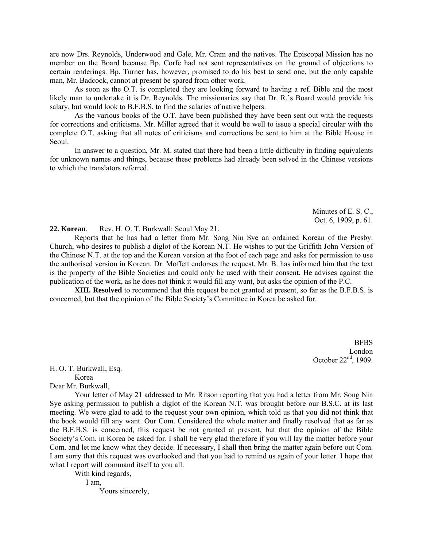are now Drs. Reynolds, Underwood and Gale, Mr. Cram and the natives. The Episcopal Mission has no member on the Board because Bp. Corfe had not sent representatives on the ground of objections to certain renderings. Bp. Turner has, however, promised to do his best to send one, but the only capable man, Mr. Badcock, cannot at present be spared from other work.

 As soon as the O.T. is completed they are looking forward to having a ref. Bible and the most likely man to undertake it is Dr. Reynolds. The missionaries say that Dr. R.'s Board would provide his salary, but would look to B.F.B.S. to find the salaries of native helpers.

 As the various books of the O.T. have been published they have been sent out with the requests for corrections and criticisms. Mr. Miller agreed that it would be well to issue a special circular with the complete O.T. asking that all notes of criticisms and corrections be sent to him at the Bible House in Seoul.

 In answer to a question, Mr. M. stated that there had been a little difficulty in finding equivalents for unknown names and things, because these problems had already been solved in the Chinese versions to which the translators referred.

> Minutes of E. S. C., Oct. 6, 1909, p. 61.

**22. Korean**. Rev. H. O. T. Burkwall: Seoul May 21.

 Reports that he has had a letter from Mr. Song Nin Sye an ordained Korean of the Presby. Church, who desires to publish a diglot of the Korean N.T. He wishes to put the Griffith John Version of the Chinese N.T. at the top and the Korean version at the foot of each page and asks for permission to use the authorised version in Korean. Dr. Moffett endorses the request. Mr. B. has informed him that the text is the property of the Bible Societies and could only be used with their consent. He advises against the publication of the work, as he does not think it would fill any want, but asks the opinion of the P.C.

**XIII. Resolved** to recommend that this request be not granted at present, so far as the B.F.B.S. is concerned, but that the opinion of the Bible Society's Committee in Korea be asked for.

> BFBS London October  $22<sup>nd</sup>$ , 1909.

H. O. T. Burkwall, Esq.

Korea

Dear Mr. Burkwall,

 Your letter of May 21 addressed to Mr. Ritson reporting that you had a letter from Mr. Song Nin Sye asking permission to publish a diglot of the Korean N.T. was brought before our B.S.C. at its last meeting. We were glad to add to the request your own opinion, which told us that you did not think that the book would fill any want. Our Com. Considered the whole matter and finally resolved that as far as the B.F.B.S. is concerned, this request be not granted at present, but that the opinion of the Bible Society's Com. in Korea be asked for. I shall be very glad therefore if you will lay the matter before your Com. and let me know what they decide. If necessary, I shall then bring the matter again before out Com. I am sorry that this request was overlooked and that you had to remind us again of your letter. I hope that what I report will command itself to you all.

With kind regards,

 I am, Yours sincerely,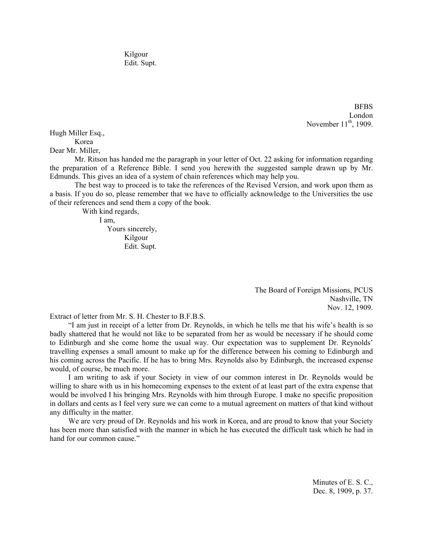Kilgour Edit. Supt.

> BFBS London November  $11<sup>th</sup>$ , 1909.

Hugh Miller Esq., Korea

Dear Mr. Miller,

 Mr. Ritson has handed me the paragraph in your letter of Oct. 22 asking for information regarding the preparation of a Reference Bible. I send you herewith the suggested sample drawn up by Mr. Edmunds. This gives an idea of a system of chain references which may help you.

 The best way to proceed is to take the references of the Revised Version, and work upon them as a basis. If you do so, please remember that we have to officially acknowledge to the Universities the use of their references and send them a copy of the book.

With kind regards,

 I am, Yours sincerely, Kilgour Edit. Supt.

> The Board of Foreign Missions, PCUS Nashville, TN Nov. 12, 1909.

Extract of letter from Mr. S. H. Chester to B.F.B.S.

"I am just in receipt of a letter from Dr. Reynolds, in which he tells me that his wife's health is so badly shattered that he would not like to be separated from her as would be necessary if he should come to Edinburgh and she come home the usual way. Our expectation was to supplement Dr. Reynolds' travelling expenses a small amount to make up for the difference between his coming to Edinburgh and his coming across the Pacific. If he has to bring Mrs. Reynolds also by Edinburgh, the increased expense would, of course, be much more.

I am writing to ask if your Society in view of our common interest in Dr. Reynolds would be willing to share with us in his homecoming expenses to the extent of at least part of the extra expense that would be involved I his bringing Mrs. Reynolds with him through Europe. I make no specific proposition in dollars and cents as I feel very sure we can come to a mutual agreement on matters of that kind without any difficulty in the matter.

We are very proud of Dr. Reynolds and his work in Korea, and are proud to know that your Society has been more than satisfied with the manner in which he has executed the difficult task which he had in hand for our common cause."

> Minutes of E. S. C., Dec. 8, 1909, p. 37.